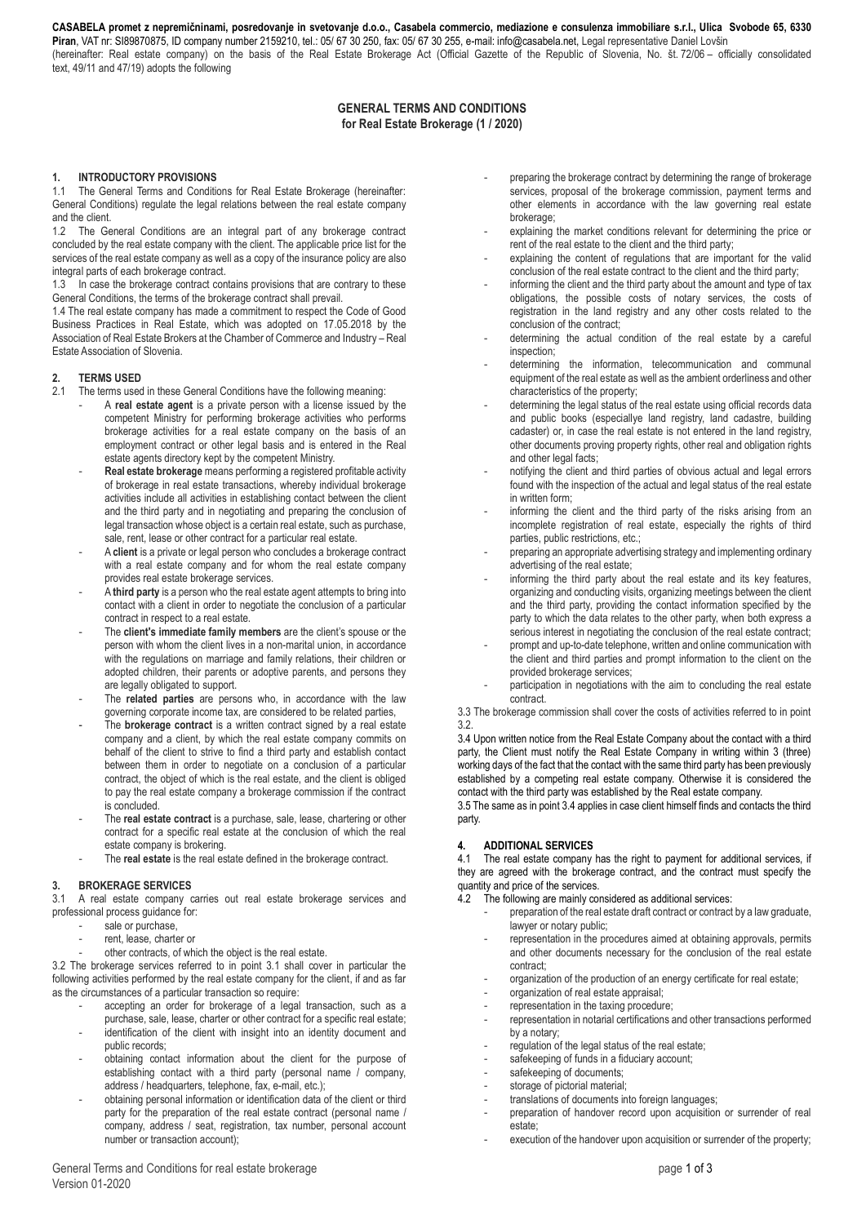**CASABELA promet z nepremičninami, posredovanje in svetovanje d.o.o., Casabela commercio, mediazione e consulenza immobiliare s.r.l., Ulica Svobode 65, 6330**  Piran, VAT nr: SI89870875, ID company number 2159210, tel.: 05/ 67 30 250, fax: 05/ 67 30 255, e-mail[: info@casabela.net,](mailto:info@casabela.net?subject=Splošni%20pogoji%20poslovanja) Legal representative Daniel Lovšin (hereinafter: Real estate company) on the basis of the Real Estate Brokerage Act (Official Gazette of the Republic of Slovenia, No. št. 72/06 – officially consolidated text, 49/11 and 47/19) adopts the following

## **GENERAL TERMS AND CONDITIONS for Real Estate Brokerage (1 / 2020)**

#### **1. INTRODUCTORY PROVISIONS**

1.1 The General Terms and Conditions for Real Estate Brokerage (hereinafter: General Conditions) regulate the legal relations between the real estate company and the client.

1.2 The General Conditions are an integral part of any brokerage contract concluded by the real estate company with the client. The applicable price list for the services of the real estate company as well as a copy of the insurance policy are also integral parts of each brokerage contract.

1.3 In case the brokerage contract contains provisions that are contrary to these General Conditions, the terms of the brokerage contract shall prevail.

1.4 The real estate company has made a commitment to respect the Code of Good Business Practices in Real Estate, which was adopted on 17.05.2018 by the Association of Real Estate Brokers at the Chamber of Commerce and Industry – Real Estate Association of Slovenia.

# **2. TERMS USED**

- The terms used in these General Conditions have the following meaning:
	- A **real estate agent** is a private person with a license issued by the competent Ministry for performing brokerage activities who performs brokerage activities for a real estate company on the basis of an employment contract or other legal basis and is entered in the Real estate agents directory kept by the competent Ministry.
	- **Real estate brokerage** means performing a registered profitable activity of brokerage in real estate transactions, whereby individual brokerage activities include all activities in establishing contact between the client and the third party and in negotiating and preparing the conclusion of legal transaction whose object is a certain real estate, such as purchase, sale, rent, lease or other contract for a particular real estate.
	- A **client** is a private or legal person who concludes a brokerage contract with a real estate company and for whom the real estate company provides real estate brokerage services.
	- A **third party** is a person who the real estate agent attempts to bring into contact with a client in order to negotiate the conclusion of a particular contract in respect to a real estate.
	- The **client's immediate family members** are the client's spouse or the person with whom the client lives in a non-marital union, in accordance with the regulations on marriage and family relations, their children or adopted children, their parents or adoptive parents, and persons they are legally obligated to support.
	- The **related parties** are persons who, in accordance with the law governing corporate income tax, are considered to be related parties,
	- The **brokerage contract** is a written contract signed by a real estate company and a client, by which the real estate company commits on behalf of the client to strive to find a third party and establish contact between them in order to negotiate on a conclusion of a particular contract, the object of which is the real estate, and the client is obliged to pay the real estate company a brokerage commission if the contract is concluded.
	- The **real estate contract** is a purchase, sale, lease, chartering or other contract for a specific real estate at the conclusion of which the real estate company is brokering.
	- The **real estate** is the real estate defined in the brokerage contract.

#### **3. BROKERAGE SERVICES**

3.1 A real estate company carries out real estate brokerage services and professional process guidance for:

- sale or purchase,
- rent, lease, charter or
- other contracts, of which the object is the real estate.

3.2 The brokerage services referred to in point 3.1 shall cover in particular the following activities performed by the real estate company for the client, if and as far as the circumstances of a particular transaction so require:

- accepting an order for brokerage of a legal transaction, such as a
- purchase, sale, lease, charter or other contract for a specific real estate; identification of the client with insight into an identity document and public records;
- obtaining contact information about the client for the purpose of establishing contact with a third party (personal name / company, address / headquarters, telephone, fax, e-mail, etc.);
- obtaining personal information or identification data of the client or third party for the preparation of the real estate contract (personal name / company, address / seat, registration, tax number, personal account number or transaction account);
- preparing the brokerage contract by determining the range of brokerage services, proposal of the brokerage commission, payment terms and other elements in accordance with the law governing real estate brokerage;
- explaining the market conditions relevant for determining the price or rent of the real estate to the client and the third party;
- explaining the content of regulations that are important for the valid conclusion of the real estate contract to the client and the third party;
- informing the client and the third party about the amount and type of tax obligations, the possible costs of notary services, the costs of registration in the land registry and any other costs related to the conclusion of the contract;
- determining the actual condition of the real estate by a careful inspection;
- determining the information, telecommunication and communal equipment of the real estate as well as the ambient orderliness and other characteristics of the property;
- determining the legal status of the real estate using official records data and public books (especiallye land registry, land cadastre, building cadaster) or, in case the real estate is not entered in the land registry, other documents proving property rights, other real and obligation rights and other legal facts;
- notifying the client and third parties of obvious actual and legal errors found with the inspection of the actual and legal status of the real estate in written form;
- informing the client and the third party of the risks arising from an incomplete registration of real estate, especially the rights of third parties, public restrictions, etc.;
- preparing an appropriate advertising strategy and implementing ordinary advertising of the real estate;
- informing the third party about the real estate and its key features, organizing and conducting visits, organizing meetings between the client and the third party, providing the contact information specified by the party to which the data relates to the other party, when both express a serious interest in negotiating the conclusion of the real estate contract;
- prompt and up-to-date telephone, written and online communication with the client and third parties and prompt information to the client on the provided brokerage services;
- participation in negotiations with the aim to concluding the real estate contract.

3.3 The brokerage commission shall cover the costs of activities referred to in point 3.2.

3.4 Upon written notice from the Real Estate Company about the contact with a third party, the Client must notify the Real Estate Company in writing within 3 (three) working days of the fact that the contact with the same third party has been previously established by a competing real estate company. Otherwise it is considered the contact with the third party was established by the Real estate company.

3.5 The same as in point 3.4 applies in case client himself finds and contacts the third party.

## **4. ADDITIONAL SERVICES**

4.1 The real estate company has the right to payment for additional services, if they are agreed with the brokerage contract, and the contract must specify the quantity and price of the services.

4.2 The following are mainly considered as additional services:

- preparation of the real estate draft contract or contract by a law graduate, lawyer or notary public;
- representation in the procedures aimed at obtaining approvals, permits and other documents necessary for the conclusion of the real estate contract;
- organization of the production of an energy certificate for real estate;
- organization of real estate appraisal;
- representation in the taxing procedure;
- representation in notarial certifications and other transactions performed by a notary;
- regulation of the legal status of the real estate:
- safekeeping of funds in a fiduciary account;
- safekeeping of documents;
- storage of pictorial material;
- translations of documents into foreign languages;
- preparation of handover record upon acquisition or surrender of real estate;
- execution of the handover upon acquisition or surrender of the property;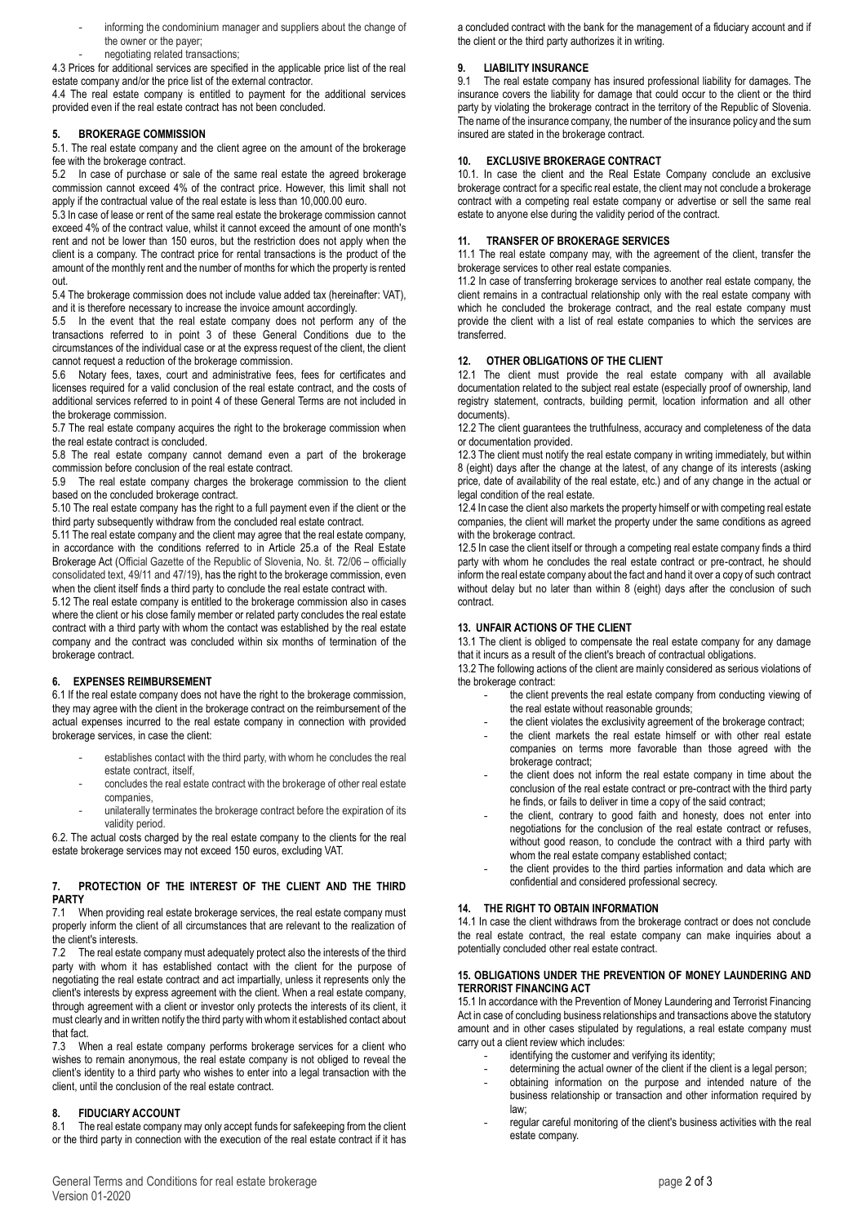- informing the condominium manager and suppliers about the change of the owner or the payer;
- negotiating related transactions;

4.3 Prices for additional services are specified in the applicable price list of the real estate company and/or the price list of the external contractor.

4.4 The real estate company is entitled to payment for the additional services provided even if the real estate contract has not been concluded.

#### **5. BROKERAGE COMMISSION**

5.1. The real estate company and the client agree on the amount of the brokerage fee with the brokerage contract.

5.2 In case of purchase or sale of the same real estate the agreed brokerage commission cannot exceed 4% of the contract price. However, this limit shall not apply if the contractual value of the real estate is less than 10,000.00 euro.

5.3 In case of lease or rent of the same real estate the brokerage commission cannot exceed 4% of the contract value, whilst it cannot exceed the amount of one month's rent and not be lower than 150 euros, but the restriction does not apply when the client is a company. The contract price for rental transactions is the product of the amount of the monthly rent and the number of months for which the property is rented out.

5.4 The brokerage commission does not include value added tax (hereinafter: VAT), and it is therefore necessary to increase the invoice amount accordingly.

5.5 In the event that the real estate company does not perform any of the transactions referred to in point 3 of these General Conditions due to the circumstances of the individual case or at the express request of the client, the client cannot request a reduction of the brokerage commission.

5.6 Notary fees, taxes, court and administrative fees, fees for certificates and licenses required for a valid conclusion of the real estate contract, and the costs of additional services referred to in point 4 of these General Terms are not included in the brokerage commission.

5.7 The real estate company acquires the right to the brokerage commission when the real estate contract is concluded.

5.8 The real estate company cannot demand even a part of the brokerage commission before conclusion of the real estate contract.

5.9 The real estate company charges the brokerage commission to the client based on the concluded brokerage contract.

5.10 The real estate company has the right to a full payment even if the client or the third party subsequently withdraw from the concluded real estate contract.

5.11 The real estate company and the client may agree that the real estate company, in accordance with the conditions referred to in Article 25.a of the Real Estate Brokerage Act (Official Gazette of the Republic of Slovenia, No. št. 72/06 – officially consolidated text, 49/11 and 47/19), has the right to the brokerage commission, even when the client itself finds a third party to conclude the real estate contract with.

5.12 The real estate company is entitled to the brokerage commission also in cases where the client or his close family member or related party concludes the real estate contract with a third party with whom the contact was established by the real estate company and the contract was concluded within six months of termination of the brokerage contract.

## **6. EXPENSES REIMBURSEMENT**

6.1 If the real estate company does not have the right to the brokerage commission, they may agree with the client in the brokerage contract on the reimbursement of the actual expenses incurred to the real estate company in connection with provided brokerage services, in case the client:

- establishes contact with the third party, with whom he concludes the real estate contract, itself,
- concludes the real estate contract with the brokerage of other real estate companies,
- unilaterally terminates the brokerage contract before the expiration of its validity period.

6.2. The actual costs charged by the real estate company to the clients for the real estate brokerage services may not exceed 150 euros, excluding VAT.

#### **7. PROTECTION OF THE INTEREST OF THE CLIENT AND THE THIRD PARTY**

7.1 When providing real estate brokerage services, the real estate company must properly inform the client of all circumstances that are relevant to the realization of the client's interests.

7.2 The real estate company must adequately protect also the interests of the third party with whom it has established contact with the client for the purpose of negotiating the real estate contract and act impartially, unless it represents only the client's interests by express agreement with the client. When a real estate company, through agreement with a client or investor only protects the interests of its client, it must clearly and in written notify the third party with whom it established contact about that fact.

7.3 When a real estate company performs brokerage services for a client who wishes to remain anonymous, the real estate company is not obliged to reveal the client's identity to a third party who wishes to enter into a legal transaction with the client, until the conclusion of the real estate contract.

## **8. FIDUCIARY ACCOUNT**

The real estate company may only accept funds for safekeeping from the client or the third party in connection with the execution of the real estate contract if it has

a concluded contract with the bank for the management of a fiduciary account and if the client or the third party authorizes it in writing.

## **9. LIABILITY INSURANCE**

9.1 The real estate company has insured professional liability for damages. The insurance covers the liability for damage that could occur to the client or the third party by violating the brokerage contract in the territory of the Republic of Slovenia. The name of the insurance company, the number of the insurance policy and the sum insured are stated in the brokerage contract.

## **10. EXCLUSIVE BROKERAGE CONTRACT**

10.1. In case the client and the Real Estate Company conclude an exclusive brokerage contract for a specific real estate, the client may not conclude a brokerage contract with a competing real estate company or advertise or sell the same real estate to anyone else during the validity period of the contract.

## **11. TRANSFER OF BROKERAGE SERVICES**

11.1 The real estate company may, with the agreement of the client, transfer the brokerage services to other real estate companies.

11.2 In case of transferring brokerage services to another real estate company, the client remains in a contractual relationship only with the real estate company with which he concluded the brokerage contract, and the real estate company must provide the client with a list of real estate companies to which the services are transferred.

## **12. OTHER OBLIGATIONS OF THE CLIENT**

12.1 The client must provide the real estate company with all available documentation related to the subject real estate (especially proof of ownership, land registry statement, contracts, building permit, location information and all other documents).

12.2 The client guarantees the truthfulness, accuracy and completeness of the data or documentation provided.

12.3 The client must notify the real estate company in writing immediately, but within 8 (eight) days after the change at the latest, of any change of its interests (asking price, date of availability of the real estate, etc.) and of any change in the actual or legal condition of the real estate.

12.4 In case the client also markets the property himself or with competing real estate companies, the client will market the property under the same conditions as agreed with the brokerage contract.

12.5 In case the client itself or through a competing real estate company finds a third party with whom he concludes the real estate contract or pre-contract, he should inform the real estate company about the fact and hand it over a copy of such contract without delay but no later than within 8 (eight) days after the conclusion of such contract.

## **13. UNFAIR ACTIONS OF THE CLIENT**

13.1 The client is obliged to compensate the real estate company for any damage that it incurs as a result of the client's breach of contractual obligations.

13.2 The following actions of the client are mainly considered as serious violations of the brokerage contract:

- the client prevents the real estate company from conducting viewing of the real estate without reasonable grounds;
- the client violates the exclusivity agreement of the brokerage contract;
- the client markets the real estate himself or with other real estate companies on terms more favorable than those agreed with the brokerage contract;
- the client does not inform the real estate company in time about the conclusion of the real estate contract or pre-contract with the third party he finds, or fails to deliver in time a copy of the said contract;
- the client, contrary to good faith and honesty, does not enter into negotiations for the conclusion of the real estate contract or refuses, without good reason, to conclude the contract with a third party with whom the real estate company established contact;
- the client provides to the third parties information and data which are confidential and considered professional secrecy.

## **14. THE RIGHT TO OBTAIN INFORMATION**

14.1 In case the client withdraws from the brokerage contract or does not conclude the real estate contract, the real estate company can make inquiries about a potentially concluded other real estate contract.

#### **15. OBLIGATIONS UNDER THE PREVENTION OF MONEY LAUNDERING AND TERRORIST FINANCING ACT**

15.1 In accordance with the Prevention of Money Laundering and Terrorist Financing Act in case of concluding business relationships and transactions above the statutory amount and in other cases stipulated by regulations, a real estate company must carry out a client review which includes:

- identifying the customer and verifying its identity;
- determining the actual owner of the client if the client is a legal person;
- obtaining information on the purpose and intended nature of the business relationship or transaction and other information required by law;
- regular careful monitoring of the client's business activities with the real estate company.